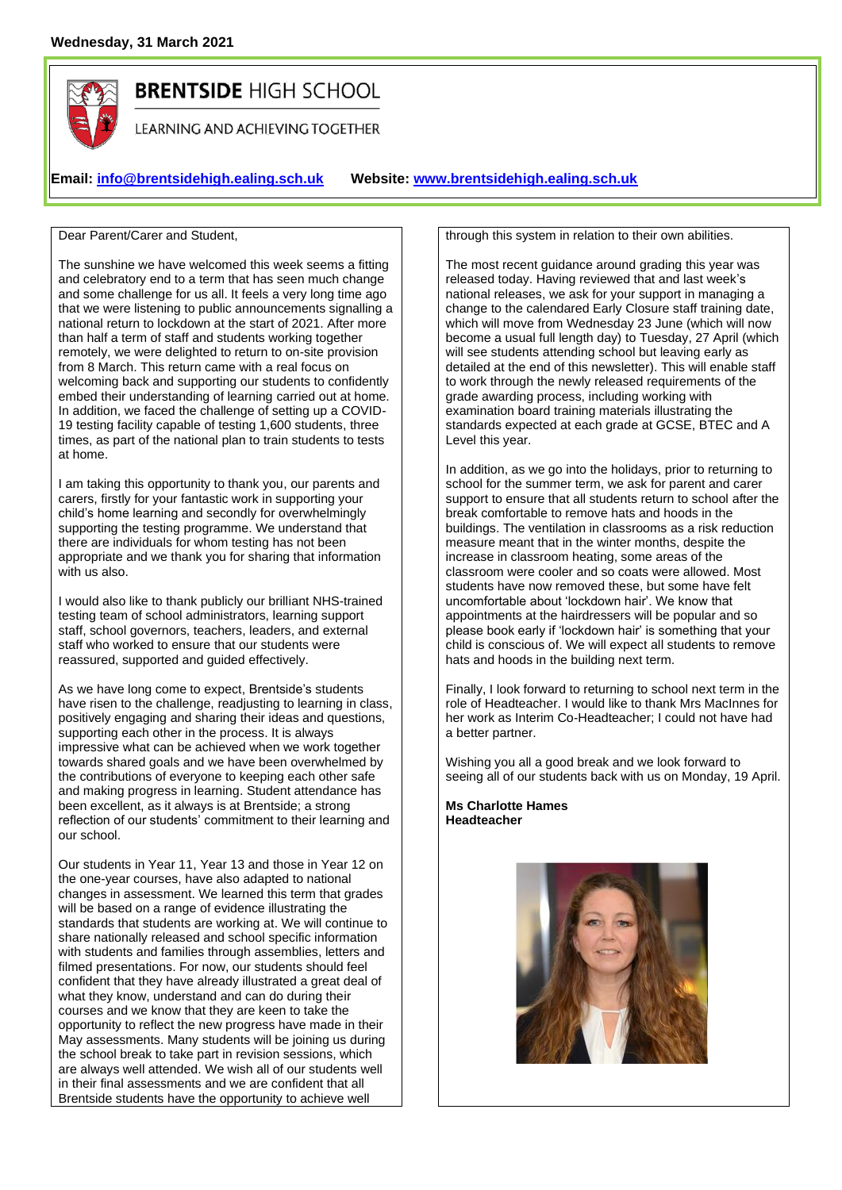

# **BRENTSIDE HIGH SCHOOL**

LEARNING AND ACHIEVING TOGETHER

**Email: [info@brentsidehigh.ealing.sch.uk](mailto:info@brentsidehigh.ealing.sch.uk) Website: www.brentsidehigh.ealing.sch.uk**

Dear Parent/Carer and Student,

The sunshine we have welcomed this week seems a fitting and celebratory end to a term that has seen much change and some challenge for us all. It feels a very long time ago that we were listening to public announcements signalling a national return to lockdown at the start of 2021. After more than half a term of staff and students working together remotely, we were delighted to return to on-site provision from 8 March. This return came with a real focus on welcoming back and supporting our students to confidently embed their understanding of learning carried out at home. In addition, we faced the challenge of setting up a COVID-19 testing facility capable of testing 1,600 students, three times, as part of the national plan to train students to tests at home.

I am taking this opportunity to thank you, our parents and carers, firstly for your fantastic work in supporting your child's home learning and secondly for overwhelmingly supporting the testing programme. We understand that there are individuals for whom testing has not been appropriate and we thank you for sharing that information with us also.

I would also like to thank publicly our brilliant NHS-trained testing team of school administrators, learning support staff, school governors, teachers, leaders, and external staff who worked to ensure that our students were reassured, supported and guided effectively.

As we have long come to expect, Brentside's students have risen to the challenge, readjusting to learning in class, positively engaging and sharing their ideas and questions, supporting each other in the process. It is always impressive what can be achieved when we work together towards shared goals and we have been overwhelmed by the contributions of everyone to keeping each other safe and making progress in learning. Student attendance has been excellent, as it always is at Brentside; a strong reflection of our students' commitment to their learning and our school.

Our students in Year 11, Year 13 and those in Year 12 on the one-year courses, have also adapted to national changes in assessment. We learned this term that grades will be based on a range of evidence illustrating the standards that students are working at. We will continue to share nationally released and school specific information with students and families through assemblies, letters and filmed presentations. For now, our students should feel confident that they have already illustrated a great deal of what they know, understand and can do during their courses and we know that they are keen to take the opportunity to reflect the new progress have made in their May assessments. Many students will be joining us during the school break to take part in revision sessions, which are always well attended. We wish all of our students well in their final assessments and we are confident that all Brentside students have the opportunity to achieve well

through this system in relation to their own abilities.

The most recent guidance around grading this year was released today. Having reviewed that and last week's national releases, we ask for your support in managing a change to the calendared Early Closure staff training date, which will move from Wednesday 23 June (which will now become a usual full length day) to Tuesday, 27 April (which will see students attending school but leaving early as detailed at the end of this newsletter). This will enable staff to work through the newly released requirements of the grade awarding process, including working with examination board training materials illustrating the standards expected at each grade at GCSE, BTEC and A Level this year.

In addition, as we go into the holidays, prior to returning to school for the summer term, we ask for parent and carer support to ensure that all students return to school after the break comfortable to remove hats and hoods in the buildings. The ventilation in classrooms as a risk reduction measure meant that in the winter months, despite the increase in classroom heating, some areas of the classroom were cooler and so coats were allowed. Most students have now removed these, but some have felt uncomfortable about 'lockdown hair'. We know that appointments at the hairdressers will be popular and so please book early if 'lockdown hair' is something that your child is conscious of. We will expect all students to remove hats and hoods in the building next term.

Finally, I look forward to returning to school next term in the role of Headteacher. I would like to thank Mrs MacInnes for her work as Interim Co-Headteacher; I could not have had a better partner.

Wishing you all a good break and we look forward to seeing all of our students back with us on Monday, 19 April.

**Ms Charlotte Hames Headteacher**

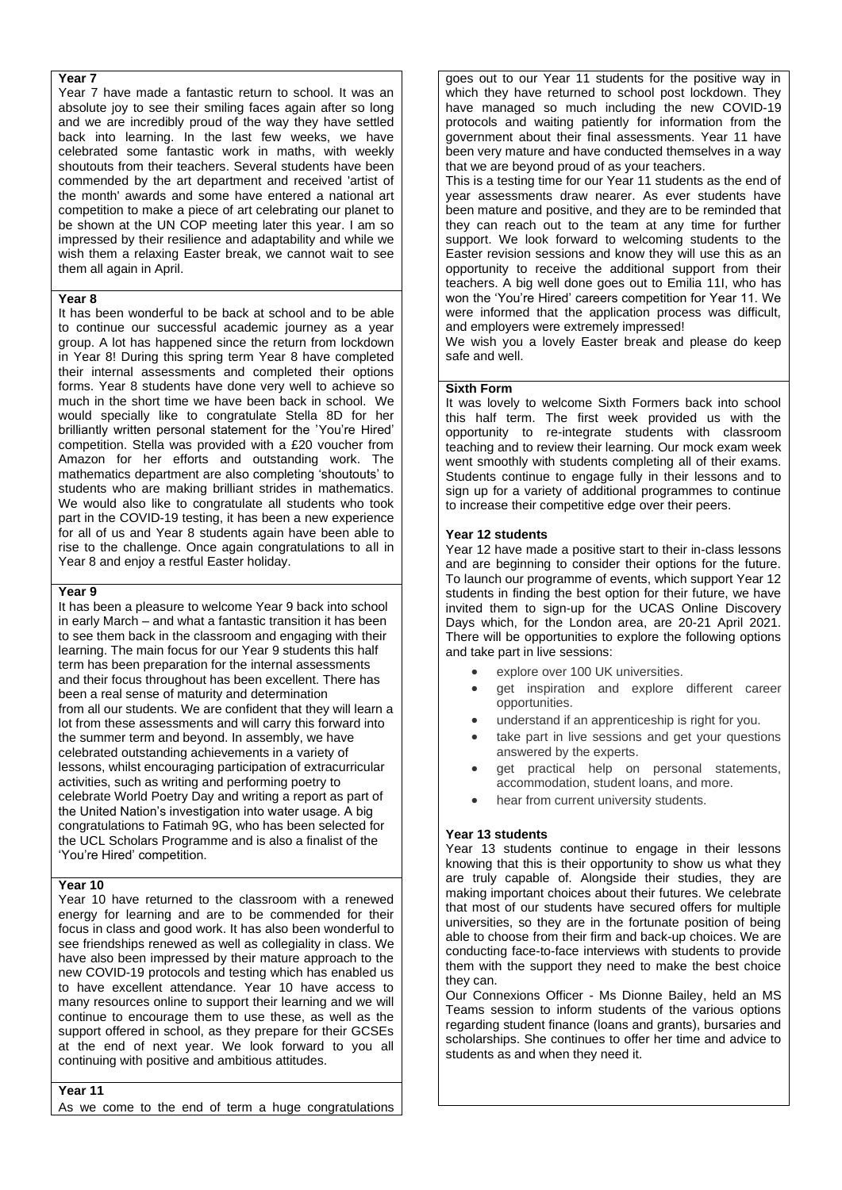#### **Year 7**

Year 7 have made a fantastic return to school. It was an absolute joy to see their smiling faces again after so long and we are incredibly proud of the way they have settled back into learning. In the last few weeks, we have celebrated some fantastic work in maths, with weekly shoutouts from their teachers. Several students have been commended by the art department and received 'artist of the month' awards and some have entered a national art competition to make a piece of art celebrating our planet to be shown at the UN COP meeting later this year. I am so impressed by their resilience and adaptability and while we wish them a relaxing Easter break, we cannot wait to see them all again in April.

## **Year 8**

It has been wonderful to be back at school and to be able to continue our successful academic journey as a year group. A lot has happened since the return from lockdown in Year 8! During this spring term Year 8 have completed their internal assessments and completed their options forms. Year 8 students have done very well to achieve so much in the short time we have been back in school. We would specially like to congratulate Stella 8D for her brilliantly written personal statement for the 'You're Hired' competition. Stella was provided with a £20 voucher from Amazon for her efforts and outstanding work. The mathematics department are also completing 'shoutouts' to students who are making brilliant strides in mathematics. We would also like to congratulate all students who took part in the COVID-19 testing, it has been a new experience for all of us and Year 8 students again have been able to rise to the challenge. Once again congratulations to all in Year 8 and enjoy a restful Easter holiday.

#### **Year 9**

It has been a pleasure to welcome Year 9 back into school in early March – and what a fantastic transition it has been to see them back in the classroom and engaging with their learning. The main focus for our Year 9 students this half term has been preparation for the internal assessments and their focus throughout has been excellent. There has been a real sense of maturity and determination from all our students. We are confident that they will learn a lot from these assessments and will carry this forward into the summer term and beyond. In assembly, we have celebrated outstanding achievements in a variety of lessons, whilst encouraging participation of extracurricular activities, such as writing and performing poetry to celebrate World Poetry Day and writing a report as part of the United Nation's investigation into water usage. A big congratulations to Fatimah 9G, who has been selected for the UCL Scholars Programme and is also a finalist of the 'You're Hired' competition.

#### **Year 10**

Year 10 have returned to the classroom with a renewed energy for learning and are to be commended for their focus in class and good work. It has also been wonderful to see friendships renewed as well as collegiality in class. We have also been impressed by their mature approach to the new COVID-19 protocols and testing which has enabled us to have excellent attendance. Year 10 have access to many resources online to support their learning and we will continue to encourage them to use these, as well as the support offered in school, as they prepare for their GCSEs at the end of next year. We look forward to you all continuing with positive and ambitious attitudes.

**Year 11**

As we come to the end of term a huge congratulations

goes out to our Year 11 students for the positive way in which they have returned to school post lockdown. They have managed so much including the new COVID-19 protocols and waiting patiently for information from the government about their final assessments. Year 11 have been very mature and have conducted themselves in a way that we are beyond proud of as your teachers.

This is a testing time for our Year 11 students as the end of year assessments draw nearer. As ever students have been mature and positive, and they are to be reminded that they can reach out to the team at any time for further support. We look forward to welcoming students to the Easter revision sessions and know they will use this as an opportunity to receive the additional support from their teachers. A big well done goes out to Emilia 11I, who has won the 'You're Hired' careers competition for Year 11. We were informed that the application process was difficult, and employers were extremely impressed!

We wish you a lovely Easter break and please do keep safe and well.

## **Sixth Form**

It was lovely to welcome Sixth Formers back into school this half term. The first week provided us with the opportunity to re-integrate students with classroom teaching and to review their learning. Our mock exam week went smoothly with students completing all of their exams. Students continue to engage fully in their lessons and to sign up for a variety of additional programmes to continue to increase their competitive edge over their peers.

#### **Year 12 students**

Year 12 have made a positive start to their in-class lessons and are beginning to consider their options for the future. To launch our programme of events, which support Year 12 students in finding the best option for their future, we have invited them to sign-up for the UCAS Online Discovery Days which, for the London area, are 20-21 April 2021. There will be opportunities to explore the following options and take part in live sessions:

- explore over 100 UK universities.
- get inspiration and explore different career opportunities.
- understand if an apprenticeship is right for you.
- take part in live sessions and get your questions answered by the experts.
- get practical help on personal statements, accommodation, student loans, and more.
- hear from current university students.

#### **Year 13 students**

Year 13 students continue to engage in their lessons knowing that this is their opportunity to show us what they are truly capable of. Alongside their studies, they are making important choices about their futures. We celebrate that most of our students have secured offers for multiple universities, so they are in the fortunate position of being able to choose from their firm and back-up choices. We are conducting face-to-face interviews with students to provide them with the support they need to make the best choice they can.

Our Connexions Officer - Ms Dionne Bailey, held an MS Teams session to inform students of the various options regarding student finance (loans and grants), bursaries and scholarships. She continues to offer her time and advice to students as and when they need it.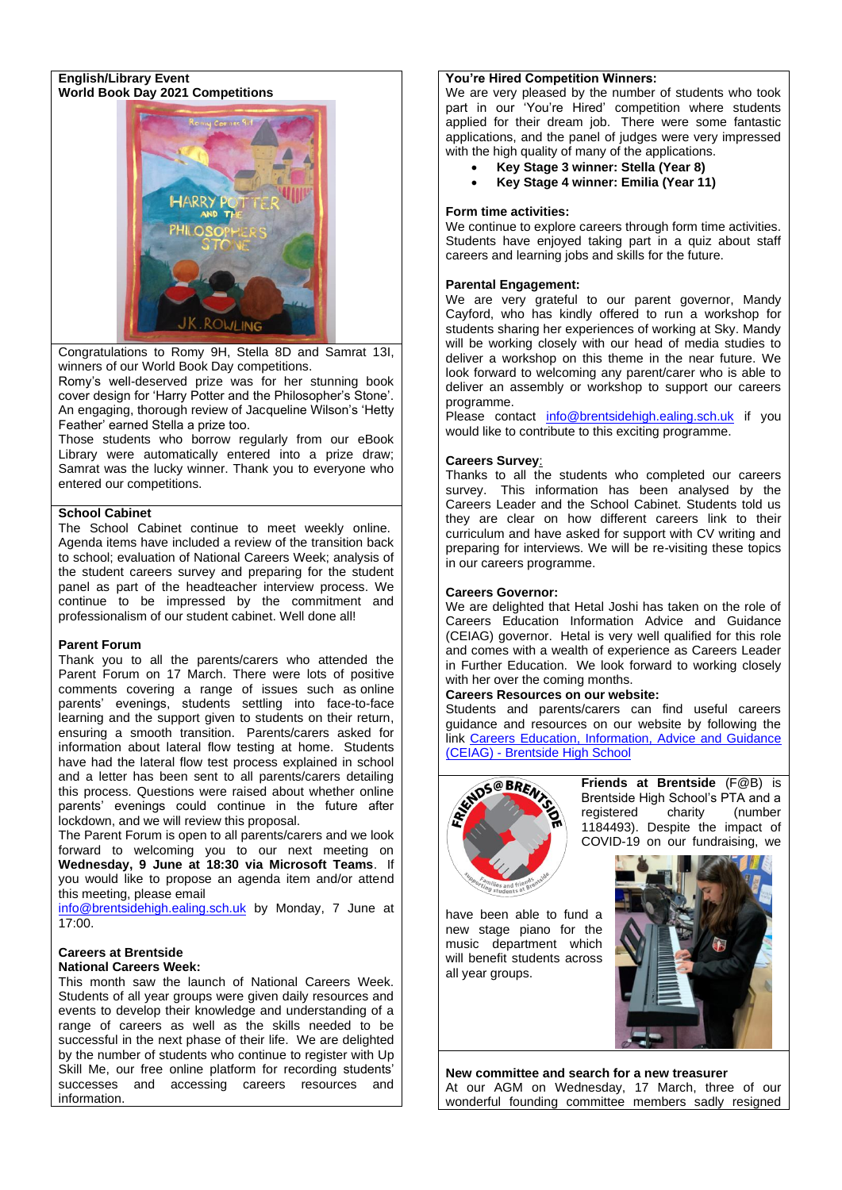## **English/Library Event World Book Day 2021 Competitions**



Congratulations to Romy 9H, Stella 8D and Samrat 13I, winners of our World Book Day competitions.

Romy's well-deserved prize was for her stunning book cover design for 'Harry Potter and the Philosopher's Stone'. An engaging, thorough review of Jacqueline Wilson's 'Hetty Feather' earned Stella a prize too.

Those students who borrow regularly from our eBook Library were automatically entered into a prize draw; Samrat was the lucky winner. Thank you to everyone who entered our competitions.

# **School Cabinet**

The School Cabinet continue to meet weekly online. Agenda items have included a review of the transition back to school; evaluation of National Careers Week; analysis of the student careers survey and preparing for the student panel as part of the headteacher interview process. We continue to be impressed by the commitment and professionalism of our student cabinet. Well done all!

## **Parent Forum**

Thank you to all the parents/carers who attended the Parent Forum on 17 March. There were lots of positive comments covering a range of issues such as online parents' evenings, students settling into face-to-face learning and the support given to students on their return, ensuring a smooth transition. Parents/carers asked for information about lateral flow testing at home. Students have had the lateral flow test process explained in school and a letter has been sent to all parents/carers detailing this process. Questions were raised about whether online parents' evenings could continue in the future after lockdown, and we will review this proposal.

The Parent Forum is open to all parents/carers and we look forward to welcoming you to our next meeting on **Wednesday, 9 June at 18:30 via Microsoft Teams**. If you would like to propose an agenda item and/or attend this meeting, please email

[info@brentsidehigh.ealing.sch.uk](mailto:info@brentsidehigh.ealing.sch.uk) by Monday, 7 June at 17:00.

## **Careers at Brentside National Careers Week:**

This month saw the launch of National Careers Week. Students of all year groups were given daily resources and events to develop their knowledge and understanding of a range of careers as well as the skills needed to be successful in the next phase of their life. We are delighted by the number of students who continue to register with Up Skill Me, our free online platform for recording students' successes and accessing careers resources and information.

# **You're Hired Competition Winners:**

We are very pleased by the number of students who took part in our 'You're Hired' competition where students applied for their dream job. There were some fantastic applications, and the panel of judges were very impressed with the high quality of many of the applications.

- **Key Stage 3 winner: Stella (Year 8)**
- **Key Stage 4 winner: Emilia (Year 11)**

# **Form time activities:**

We continue to explore careers through form time activities. Students have enjoyed taking part in a quiz about staff careers and learning jobs and skills for the future.

# **Parental Engagement:**

We are very grateful to our parent governor, Mandy Cayford, who has kindly offered to run a workshop for students sharing her experiences of working at Sky. Mandy will be working closely with our head of media studies to deliver a workshop on this theme in the near future. We look forward to welcoming any parent/carer who is able to deliver an assembly or workshop to support our careers programme.

Please contact [info@brentsidehigh.ealing.sch.uk](mailto:info@brentsidehigh.ealing.sch.uk) if you would like to contribute to this exciting programme.

# **Careers Survey**:

Thanks to all the students who completed our careers survey. This information has been analysed by the Careers Leader and the School Cabinet. Students told us they are clear on how different careers link to their curriculum and have asked for support with CV writing and preparing for interviews. We will be re-visiting these topics in our careers programme.

# **Careers Governor:**

We are delighted that Hetal Joshi has taken on the role of Careers Education Information Advice and Guidance (CEIAG) governor. Hetal is very well qualified for this role and comes with a wealth of experience as Careers Leader in Further Education. We look forward to working closely with her over the coming months.

## **Careers Resources on our website:**

Students and parents/carers can find useful careers guidance and resources on our website by following the link Careers Education, Information, Advice and Guidance (CEIAG) - [Brentside High School](http://www.brentsidehigh.ealing.sch.uk/342/careers-education-information-advice-and-guidance-ceiag)



**Friends at Brentside** (F@B) is Brentside High School's PTA and a registered charity (number 1184493). Despite the impact of COVID-19 on our fundraising, we

have been able to fund a new stage piano for the music department which will benefit students across all year groups.



**New committee and search for a new treasurer** At our AGM on Wednesday, 17 March, three of our wonderful founding committee members sadly resigned